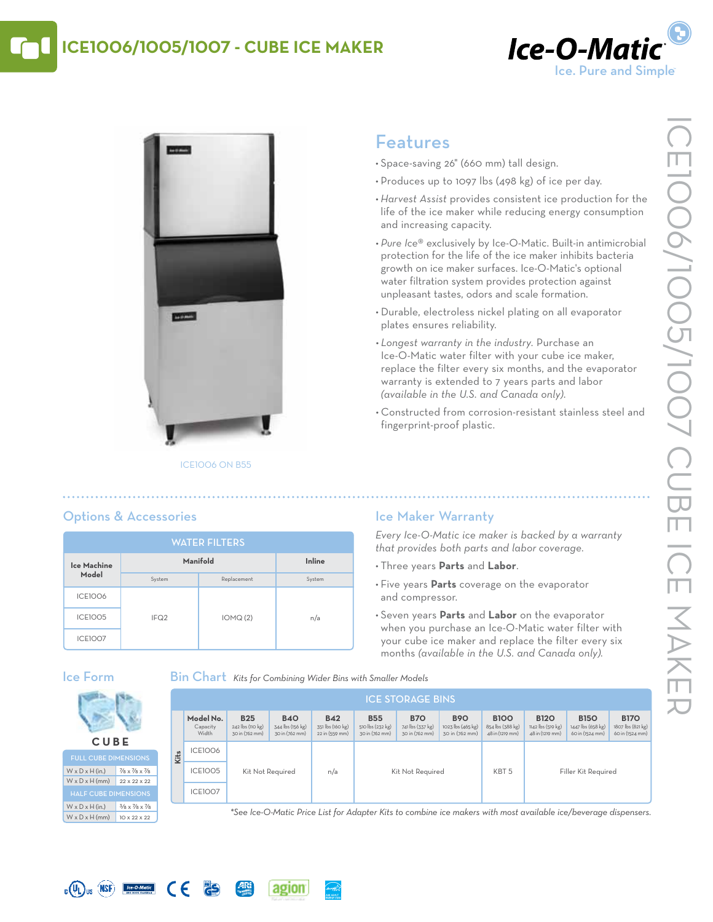# **ICE1006/1005/1007 - Cube Ice Maker**





#### ICE1006 on B55

# Features

- • Space-saving 26" (660 mm) tall design.
- Produces up to 1097 lbs (498 kg) of ice per day.
- *• Harvest Assist* provides consistent ice production for the life of the ice maker while reducing energy consumption and increasing capacity.
- *• Pure Ice*® exclusively by Ice-O-Matic. Built-in antimicrobial protection for the life of the ice maker inhibits bacteria growth on ice maker surfaces. Ice-O-Matic's optional water filtration system provides protection against unpleasant tastes, odors and scale formation.
- • Durable, electroless nickel plating on all evaporator plates ensures reliability.
- *• Longest warranty in the industry.* Purchase an Ice-O-Matic water filter with your cube ice maker, replace the filter every six months, and the evaporator warranty is extended to 7 years parts and labor *(available in the U.S. and Canada only)*.
- • Constructed from corrosion-resistant stainless steel and fingerprint-proof plastic.

### **Ice Machine Model Manifold Inline** System Replacement System ICE1006 ICE1005 IFQ2 IOMQ (2) n/a ICE1007 water filters

## Ice Maker Warranty

*Every Ice-O-Matic ice maker is backed by a warranty that provides both parts and labor coverage.*

- • Three years **Parts** and **Labor**.
- • Five years **Parts** coverage on the evaporator and compressor.
- • Seven years **Parts** and **Labor** on the evaporator when you purchase an Ice-O-Matic water filter with your cube ice maker and replace the filter every six months *(available in the U.S. and Canada only).*

### Ice Form

#### Bin Chart *Kits for Combining Wider Bins with Smaller Models*

|      | <b>ICE STORAGE BINS</b>        |                                                  |                                                  |                                                  |                                                  |                                                  |                                                   |                                                    |                                                     |                                                     |                                                     |  |
|------|--------------------------------|--------------------------------------------------|--------------------------------------------------|--------------------------------------------------|--------------------------------------------------|--------------------------------------------------|---------------------------------------------------|----------------------------------------------------|-----------------------------------------------------|-----------------------------------------------------|-----------------------------------------------------|--|
|      | Model No.<br>Capacity<br>Width | <b>B25</b><br>242 lbs (110 kg)<br>30 in (762 mm) | <b>B40</b><br>344 lbs (156 kg)<br>30 in (762 mm) | <b>B42</b><br>351 lbs (160 kg)<br>22 in (559 mm) | <b>B55</b><br>510 lbs (232 kg)<br>30 in (762 mm) | <b>B70</b><br>741 lbs (337 kg)<br>30 in (762 mm) | <b>B90</b><br>1023 lbs (465 kg)<br>30 in (762 mm) | <b>B100</b><br>854 lbs (388 kg)<br>48 in (1219 mm) | <b>B120</b><br>1142 lbs (519 kg)<br>48 in (1219 mm) | <b>B150</b><br>1447 lbs (658 kg)<br>60 in (1524 mm) | <b>B170</b><br>1807 lbs (821 kg)<br>60 in (1524 mm) |  |
| Kits | <b>ICE1006</b>                 | Kit Not Required                                 |                                                  | n/a                                              | Kit Not Required                                 |                                                  |                                                   | KBT <sub>5</sub>                                   |                                                     |                                                     |                                                     |  |
|      | <b>ICE1005</b>                 |                                                  |                                                  |                                                  |                                                  |                                                  |                                                   |                                                    | Filler Kit Required                                 |                                                     |                                                     |  |
|      | <b>ICE1007</b>                 |                                                  |                                                  |                                                  |                                                  |                                                  |                                                   |                                                    |                                                     |                                                     |                                                     |  |

<sup>W</sup> <sup>x</sup> <sup>D</sup> <sup>x</sup> <sup>H</sup> (mm) <sup>10</sup> <sup>x</sup> <sup>22</sup> <sup>x</sup> <sup>22</sup> *\*See Ice-O-Matic Price List for Adapter Kits to combine ice makers with most available ice/beverage dispensers.*





Options & Accessories



 $\epsilon$ 

**PS**